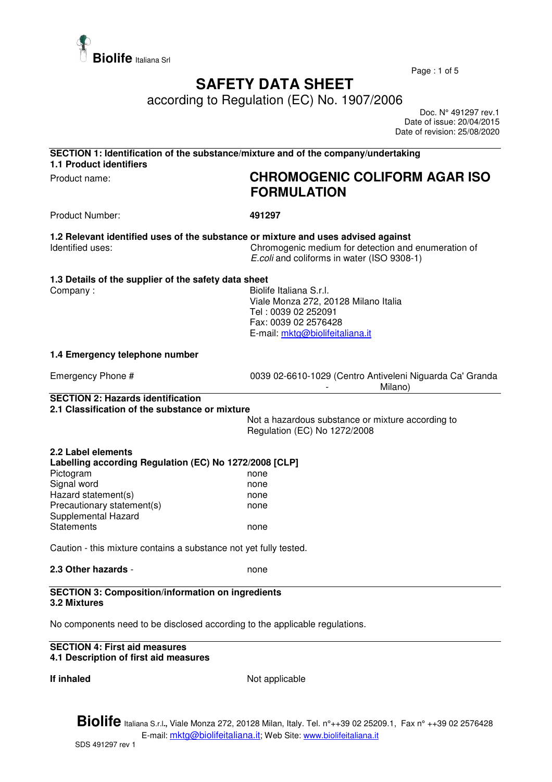

Page : 1 of 5

# **SAFETY DATA SHEET**

according to Regulation (EC) No. 1907/2006

 Doc. N° 491297 rev.1 Date of issue: 20/04/2015 Date of revision: 25/08/2020

| SECTION 1: Identification of the substance/mixture and of the company/undertaking<br>1.1 Product identifiers |                                                                                                                                                   |
|--------------------------------------------------------------------------------------------------------------|---------------------------------------------------------------------------------------------------------------------------------------------------|
| Product name:                                                                                                | <b>CHROMOGENIC COLIFORM AGAR ISO</b>                                                                                                              |
|                                                                                                              | <b>FORMULATION</b>                                                                                                                                |
| <b>Product Number:</b>                                                                                       | 491297                                                                                                                                            |
| 1.2 Relevant identified uses of the substance or mixture and uses advised against<br>Identified uses:        | Chromogenic medium for detection and enumeration of<br>E.coli and coliforms in water (ISO 9308-1)                                                 |
| 1.3 Details of the supplier of the safety data sheet<br>Company:                                             | Biolife Italiana S.r.l.<br>Viale Monza 272, 20128 Milano Italia<br>Tel: 0039 02 252091<br>Fax: 0039 02 2576428<br>E-mail: mktg@biolifeitaliana.it |
| 1.4 Emergency telephone number                                                                               |                                                                                                                                                   |
| Emergency Phone #                                                                                            | 0039 02-6610-1029 (Centro Antiveleni Niguarda Ca' Granda<br>Milano)                                                                               |
| <b>SECTION 2: Hazards identification</b>                                                                     |                                                                                                                                                   |
| 2.1 Classification of the substance or mixture                                                               | Not a hazardous substance or mixture according to<br>Regulation (EC) No 1272/2008                                                                 |
| 2.2 Label elements<br>Labelling according Regulation (EC) No 1272/2008 [CLP]                                 |                                                                                                                                                   |
| Pictogram                                                                                                    | none                                                                                                                                              |
| Signal word                                                                                                  | none                                                                                                                                              |
| Hazard statement(s)<br>Precautionary statement(s)                                                            | none                                                                                                                                              |
| Supplemental Hazard                                                                                          | none                                                                                                                                              |
| <b>Statements</b>                                                                                            | none                                                                                                                                              |
| Caution - this mixture contains a substance not yet fully tested.                                            |                                                                                                                                                   |
| 2.3 Other hazards -                                                                                          | none                                                                                                                                              |
| <b>SECTION 3: Composition/information on ingredients</b><br>3.2 Mixtures                                     |                                                                                                                                                   |

No components need to be disclosed according to the applicable regulations.

#### **SECTION 4: First aid measures 4.1 Description of first aid measures**

**If inhaled** Not applicable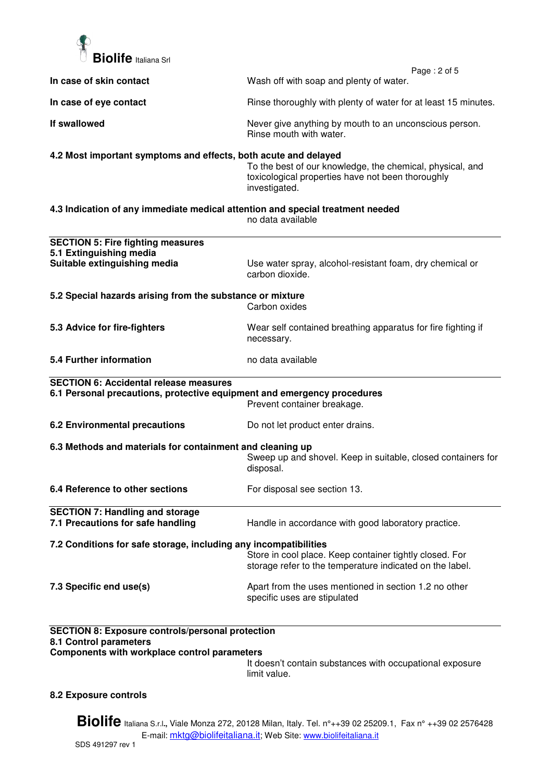

| In case of skin contact                                                                                                           | Page: 2 of 5<br>Wash off with soap and plenty of water.                                                                         |
|-----------------------------------------------------------------------------------------------------------------------------------|---------------------------------------------------------------------------------------------------------------------------------|
|                                                                                                                                   |                                                                                                                                 |
| In case of eye contact                                                                                                            | Rinse thoroughly with plenty of water for at least 15 minutes.                                                                  |
| If swallowed                                                                                                                      | Never give anything by mouth to an unconscious person.<br>Rinse mouth with water.                                               |
| 4.2 Most important symptoms and effects, both acute and delayed                                                                   | To the best of our knowledge, the chemical, physical, and<br>toxicological properties have not been thoroughly<br>investigated. |
| 4.3 Indication of any immediate medical attention and special treatment needed                                                    | no data available                                                                                                               |
| <b>SECTION 5: Fire fighting measures</b>                                                                                          |                                                                                                                                 |
| 5.1 Extinguishing media<br>Suitable extinguishing media                                                                           | Use water spray, alcohol-resistant foam, dry chemical or<br>carbon dioxide.                                                     |
| 5.2 Special hazards arising from the substance or mixture                                                                         | Carbon oxides                                                                                                                   |
| 5.3 Advice for fire-fighters                                                                                                      | Wear self contained breathing apparatus for fire fighting if<br>necessary.                                                      |
| 5.4 Further information                                                                                                           | no data available                                                                                                               |
| <b>SECTION 6: Accidental release measures</b>                                                                                     |                                                                                                                                 |
| 6.1 Personal precautions, protective equipment and emergency procedures                                                           | Prevent container breakage.                                                                                                     |
| <b>6.2 Environmental precautions</b>                                                                                              | Do not let product enter drains.                                                                                                |
| 6.3 Methods and materials for containment and cleaning up                                                                         | Sweep up and shovel. Keep in suitable, closed containers for<br>disposal.                                                       |
| 6.4 Reference to other sections                                                                                                   | For disposal see section 13.                                                                                                    |
| <b>SECTION 7: Handling and storage</b><br>7.1 Precautions for safe handling                                                       | Handle in accordance with good laboratory practice.                                                                             |
| 7.2 Conditions for safe storage, including any incompatibilities                                                                  | Store in cool place. Keep container tightly closed. For<br>storage refer to the temperature indicated on the label.             |
| 7.3 Specific end use(s)                                                                                                           | Apart from the uses mentioned in section 1.2 no other<br>specific uses are stipulated                                           |
| <b>SECTION 8: Exposure controls/personal protection</b><br>8.1 Control parameters<br>Components with workplace control parameters |                                                                                                                                 |

It doesn't contain substances with occupational exposure limit value.

### **8.2 Exposure controls**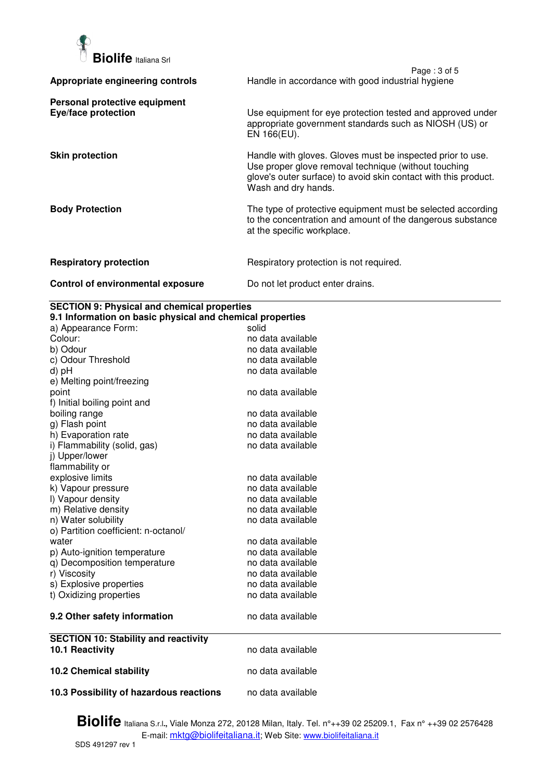

|                                                      | Page: 3 of 5                                                                                                                                                                                                 |
|------------------------------------------------------|--------------------------------------------------------------------------------------------------------------------------------------------------------------------------------------------------------------|
| Appropriate engineering controls                     | Handle in accordance with good industrial hygiene                                                                                                                                                            |
| Personal protective equipment<br>Eye/face protection | Use equipment for eye protection tested and approved under<br>appropriate government standards such as NIOSH (US) or<br>EN 166(EU).                                                                          |
| <b>Skin protection</b>                               | Handle with gloves. Gloves must be inspected prior to use.<br>Use proper glove removal technique (without touching<br>glove's outer surface) to avoid skin contact with this product.<br>Wash and dry hands. |
| <b>Body Protection</b>                               | The type of protective equipment must be selected according<br>to the concentration and amount of the dangerous substance<br>at the specific workplace.                                                      |
| <b>Respiratory protection</b>                        | Respiratory protection is not required.                                                                                                                                                                      |
| Control of environmental exposure                    | Do not let product enter drains.                                                                                                                                                                             |

## **SECTION 9: Physical and chemical properties**

| 9.1 Information on basic physical and chemical properties |                   |  |
|-----------------------------------------------------------|-------------------|--|
| a) Appearance Form:                                       | solid             |  |
| Colour:                                                   | no data available |  |
| b) Odour                                                  | no data available |  |
| c) Odour Threshold                                        | no data available |  |
| d) pH                                                     | no data available |  |
| e) Melting point/freezing                                 |                   |  |
| point                                                     | no data available |  |
| f) Initial boiling point and                              |                   |  |
| boiling range                                             | no data available |  |
| g) Flash point                                            | no data available |  |
| h) Evaporation rate                                       | no data available |  |
| i) Flammability (solid, gas)                              | no data available |  |
| j) Upper/lower                                            |                   |  |
| flammability or                                           |                   |  |
| explosive limits                                          | no data available |  |
| k) Vapour pressure                                        | no data available |  |
| I) Vapour density                                         | no data available |  |
| m) Relative density                                       | no data available |  |
| n) Water solubility                                       | no data available |  |
| o) Partition coefficient: n-octanol/                      |                   |  |
| water                                                     | no data available |  |
| p) Auto-ignition temperature                              | no data available |  |
| q) Decomposition temperature                              | no data available |  |
| r) Viscosity                                              | no data available |  |
| s) Explosive properties                                   | no data available |  |
| t) Oxidizing properties                                   | no data available |  |
| 9.2 Other safety information                              | no data available |  |
| <b>SECTION 10: Stability and reactivity</b>               |                   |  |
| 10.1 Reactivity                                           | no data available |  |
| <b>10.2 Chemical stability</b>                            | no data available |  |
| 10.3 Possibility of hazardous reactions                   | no data available |  |
|                                                           |                   |  |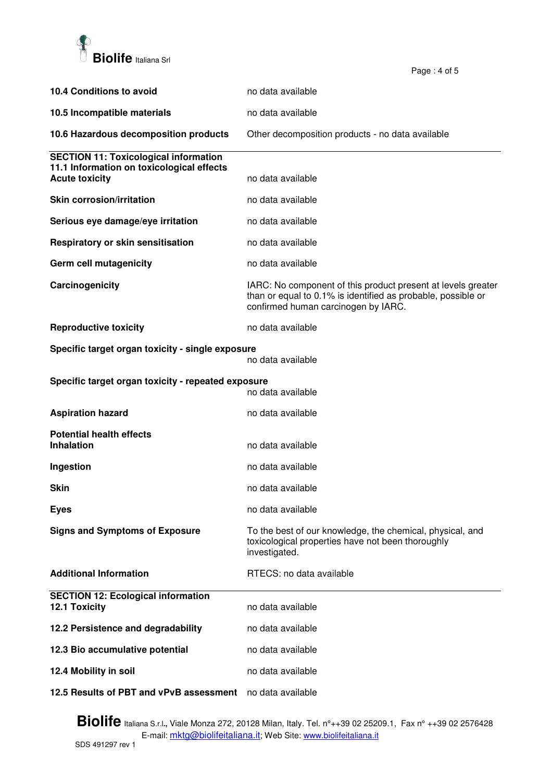

| 10.4 Conditions to avoid                                                | no data available                                                                                                                                                   |
|-------------------------------------------------------------------------|---------------------------------------------------------------------------------------------------------------------------------------------------------------------|
| 10.5 Incompatible materials                                             | no data available                                                                                                                                                   |
| 10.6 Hazardous decomposition products                                   | Other decomposition products - no data available                                                                                                                    |
| <b>SECTION 11: Toxicological information</b>                            |                                                                                                                                                                     |
| 11.1 Information on toxicological effects<br><b>Acute toxicity</b>      | no data available                                                                                                                                                   |
| <b>Skin corrosion/irritation</b>                                        | no data available                                                                                                                                                   |
| Serious eye damage/eye irritation                                       | no data available                                                                                                                                                   |
| Respiratory or skin sensitisation                                       | no data available                                                                                                                                                   |
| Germ cell mutagenicity                                                  | no data available                                                                                                                                                   |
| Carcinogenicity                                                         | IARC: No component of this product present at levels greater<br>than or equal to 0.1% is identified as probable, possible or<br>confirmed human carcinogen by IARC. |
| <b>Reproductive toxicity</b>                                            | no data available                                                                                                                                                   |
| Specific target organ toxicity - single exposure<br>no data available   |                                                                                                                                                                     |
| Specific target organ toxicity - repeated exposure<br>no data available |                                                                                                                                                                     |
| <b>Aspiration hazard</b>                                                | no data available                                                                                                                                                   |
| <b>Potential health effects</b>                                         |                                                                                                                                                                     |
| <b>Inhalation</b>                                                       | no data available                                                                                                                                                   |
| Ingestion                                                               | no data available                                                                                                                                                   |
| Skin                                                                    | no data available                                                                                                                                                   |
| <b>Eyes</b>                                                             | no data available                                                                                                                                                   |
| <b>Signs and Symptoms of Exposure</b>                                   | To the best of our knowledge, the chemical, physical, and<br>toxicological properties have not been thoroughly<br>investigated.                                     |
| <b>Additional Information</b>                                           | RTECS: no data available                                                                                                                                            |
| <b>SECTION 12: Ecological information</b><br>12.1 Toxicity              | no data available                                                                                                                                                   |
| 12.2 Persistence and degradability                                      | no data available                                                                                                                                                   |
| 12.3 Bio accumulative potential                                         | no data available                                                                                                                                                   |
| 12.4 Mobility in soil                                                   | no data available                                                                                                                                                   |
| 12.5 Results of PBT and vPvB assessment                                 | no data available                                                                                                                                                   |

Page : 4 of 5